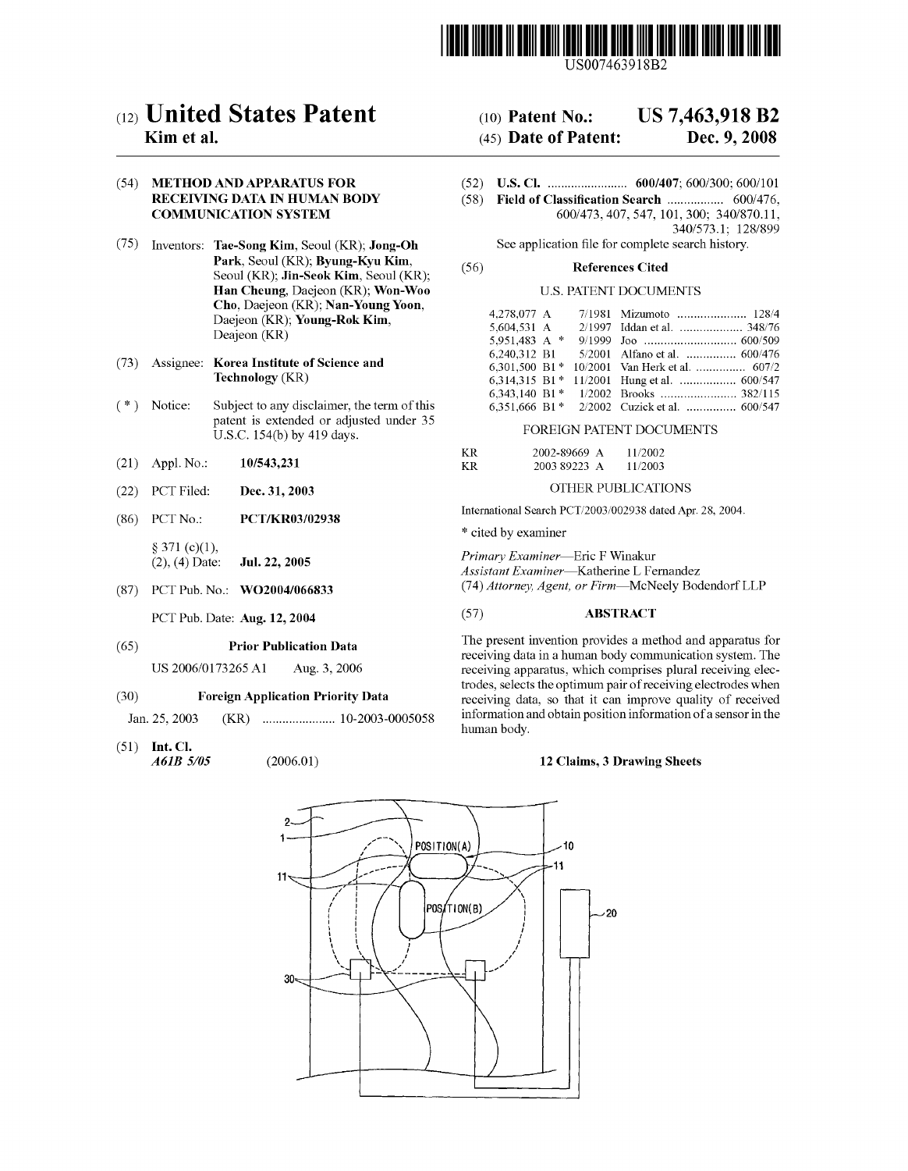

US007463918B2

# $(12)$  United States Patent  $(10)$  Patent No.: US 7,463,918 B2

# (54) METHOD AND APPARATUS FOR (52) US. Cl. ...................... .. 600/407; 600/300; 600/101 COMMUNICATION SYSTEM

- (75) Inventors: Tae-Song Kim, Seoul (KR); Jong-Oh Park, Seoul (KR); Byung-Kyu Kim, Seoul (KR); Jin-Seok Kim, Seoul (KR); Han Cheung, Daejeon (KR); Won-Woo Cho, Daejeon (KR); Nan-Young Yoon, Daejeon (KR); Young-Rok Kim, Deajeon (KR)
- (73) Assignee: Korea Institute of Science and Technology (KR)
- $(* )$ Notice: Subject to any disclaimer, the term of this patent is extended or adjusted under 35<br>U.S.C. 154(b) by 419 days.
- (21) Appl. No.:
- (22) PCT Filed:
- (86) PCT No.: PCT/KR03/02938

 $§ 371 (c)(1),$ <br>(2), (4) Date: Jul. 22, 2005

(87) PCT Pub. No.: WO2004/066833

#### (65) Prior Publication Data

US 2006/0173265 A1 Aug. 3, 2006

#### (30) Foreign Application Priority Data

Jan. 25, 2003

(51) Int. Cl. A61B 5/05

## **Kim et al.** (45) Date of Patent: Dec. 9, 2008

- 
- (58) Field of Classification Search .................. 600/476, 600/473, 407, 547, 101, 300; 340/870.11, 340/573.l; 128/899

See application file for complete search history.

## (56) References Cited

## U.S. PATENT DOCUMENTS

| 7/1981 Mizumoto  128/4                          |
|-------------------------------------------------|
| 2/1997 Iddan et al.  348/76                     |
|                                                 |
| 5/2001 Alfano et al.  600/476                   |
| 10/2001 Van Herk et al.  607/2                  |
| 11/2001 Hung et al.  600/547                    |
| 1/2002 Brooks  382/115                          |
| 2/2002 Cuzick et al.  600/547                   |
| 6.301.500 B1*<br>6.314.315 B1*<br>6.351.666 B1* |

## FOREIGN PATENT DOCUMENTS

| 10/543,231 | ΚR | 2002-89669 A | 11/2002 |
|------------|----|--------------|---------|
|            | ΚR | 2003 89223 A | 11/2003 |

## Dec. 31, 2003 OTHER PUBLICATIONS

International Search PCT/2003/002938 dated Apr. 28, 2004.

\* cited by examiner

Primary Examiner-Eric F Winakur Assistant Examiner-Katherine L Fernandez (74) Attorney, Agent, or Firm-McNeely Bodendorf LLP

## PCT Pub. Date: Aug. 12, 2004 (57) ABSTRACT

The present invention provides a method and apparatus for receiving data in a human body communication system. The receiving apparatus, Which comprises plural receiving elec trodes, selects the optimum pair of receiving electrodes When receiving data, so that it can improve quality of received  $(KR)$   $\ldots$  $\ldots$  $\ldots$  $\ldots$  $\ldots$  $\ldots$  $\ldots$  10-2003-0005058 information and obtain position information of a sensor in the human body.

### (2006.01) 12 Claims, 3 Drawing Sheets

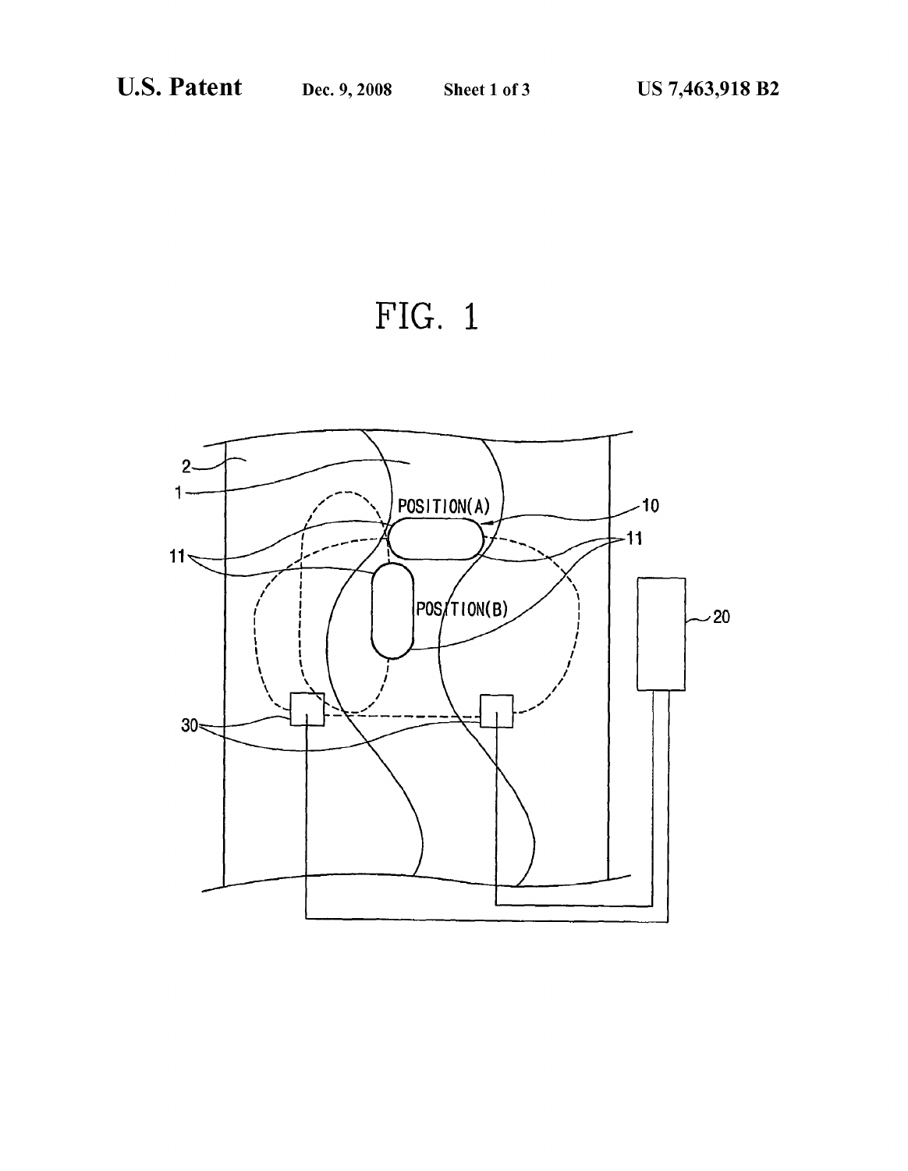FIG. 1

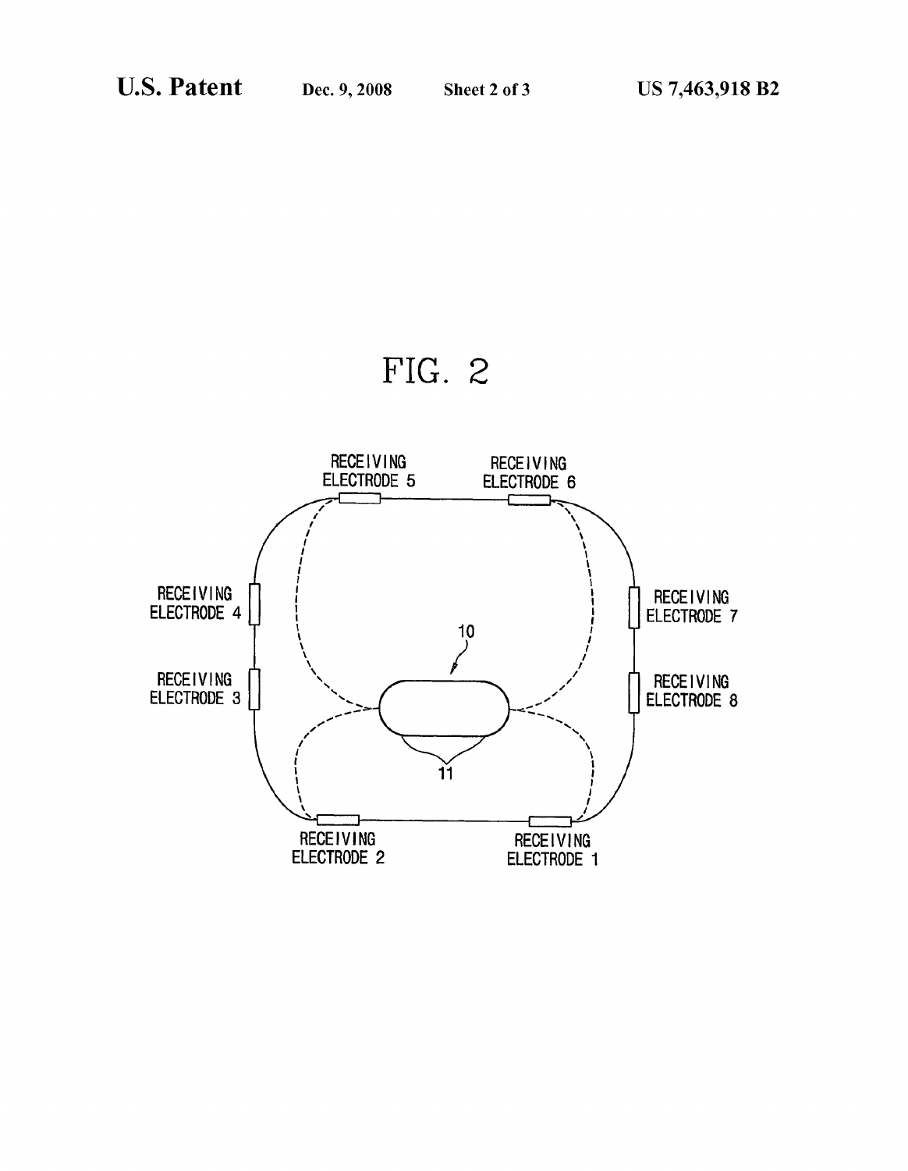

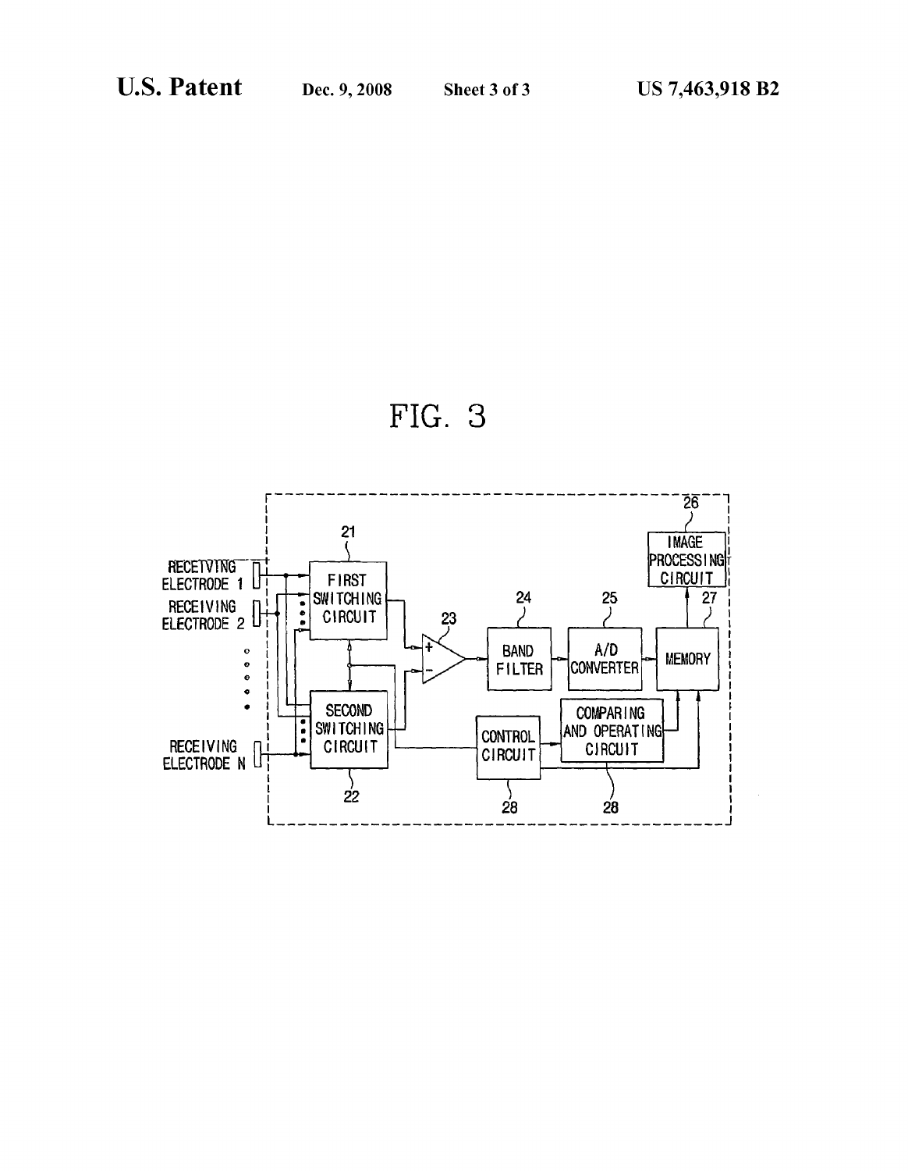

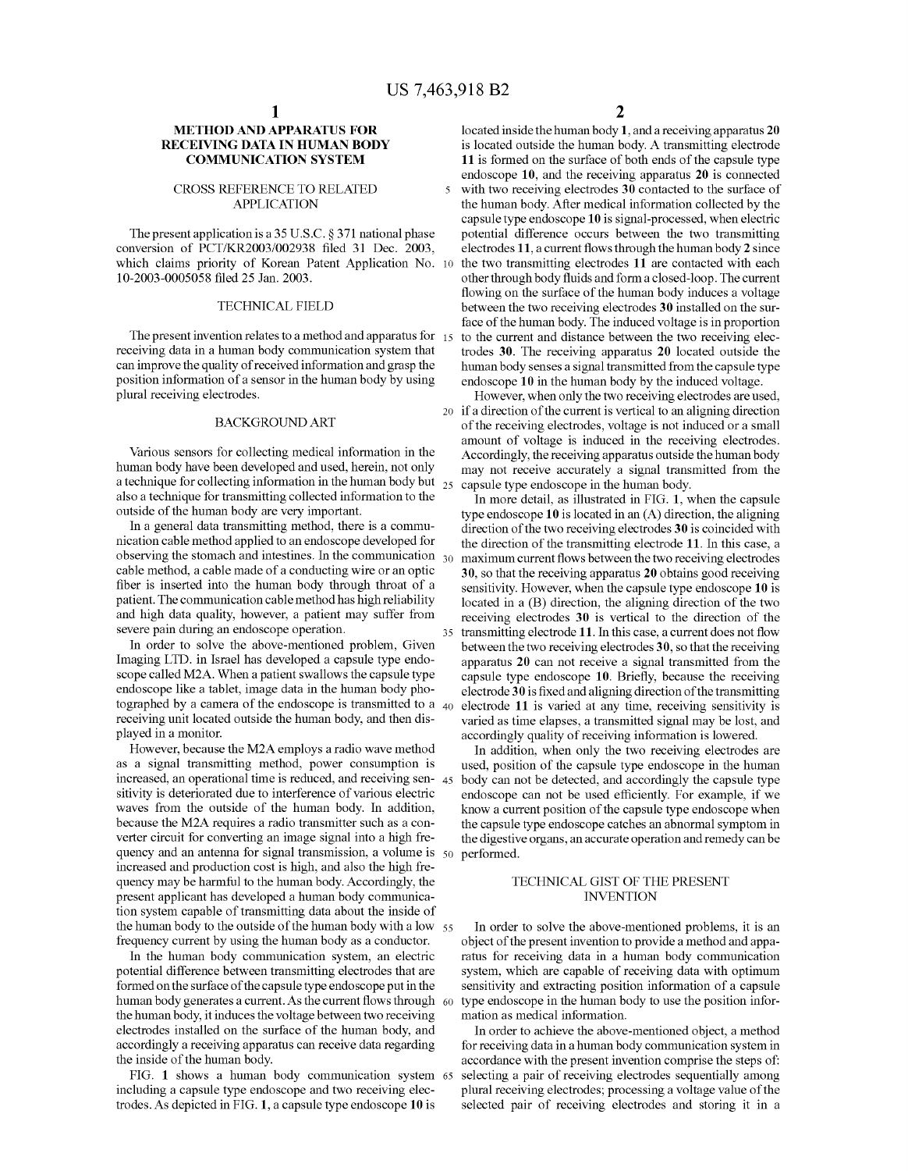$\overline{\mathbf{S}}$ 

## METHOD AND APPARATUS FOR RECEIVING DATA IN HUMAN BODY COMMUNICATION SYSTEM

## CROSS REFERENCE TO RELATED APPLICATION

The present application is a 35 U.S.C. § 371 national phase conversion of PCT/KR2003/002938 filed 31 Dec. 2003, which claims priority of Korean Patent Application No. 10 10-2003-0005058 filed 25 Jan. 2003.

## TECHNICAL FIELD

The present invention relates to a method and apparatus for 15 receiving data in a human body communication system that can improve the quality of received information and grasp the position information of a sensor in the human body by using plural receiving electrodes.

## BACKGROUND ART

Various sensors for collecting medical information in the human body have been developed and used, herein, not only<br>a technique for collecting information in the human body but  $_{25}$ also a technique for transmitting collected information to the outside of the human body are very important.

In a general data transmitting method, there is a commu nication cable method applied to an endoscope developed for observing the stomach and intestines. In the communication  $_{30}$ cable method, a cable made of a conducting Wire or an optic fiber is inserted into the human body through throat of a patient. The communication cable method has high reliability and high data quality, however, a patient may suffer from severe pain during an endoscope operation.

In order to solve the above-mentioned problem, Given Imaging LTD. in Israel has developed a capsule type endo scope called M2A. When a patient swallows the capsule type endoscope like a tablet, image data in the human body pho tographed by a camera of the endoscope is transmitted to a  $_{40}$ receiving unit located outside the human body, and then dis played in a monitor.

HoWever, because the M2A employs a radio Wave method as a signal transmitting method, power consumption is increased, an operational time is reduced, and receiving sen- 45 sitivity is deteriorated due to interference of various electric Waves from the outside of the human body. In addition, because the M2A requires a radio transmitter such as a con verter circuit for converting an image signal into a high fre quency and an antenna for signal transmission, a volume is 50 increased and production cost is high, and also the high fre quency may be harmful to the human body. Accordingly, the present applicant has developed a human body communica tion system capable of transmitting data about the inside of the human body to the outside of the human body with a low  $\frac{55}{ }$ frequency current by using the human body as a conductor.

In the human body communication system, an electric potential difference betWeen transmitting electrodes that are formed on the surface of the capsule type endoscope put in the human body generates a current. As the current flows through  $\,$  60  $\,$ the human body, it induces the voltage between two receiving electrodes installed on the surface of the human body, and accordingly a receiving apparatus can receive data regarding the inside of the human body.

FIG. 1 shoWs a human body communication system 65 including a capsule type endoscope and two receiving electrodes. As depicted in FIG. 1, a capsule type endoscope 10 is

2

located inside the human body 1, and a receiving apparatus 20 is located outside the human body. A transmitting electrode 11 is formed on the surface of both ends of the capsule type endoscope 10, and the receiving apparatus 20 is connected with two receiving electrodes 30 contacted to the surface of the human body. After medical information collected by the capsule type endoscope 10 is signal-processed, When electric potential difference occurs between the two transmitting electrodes 11, a current flows through the human body  $2$  since the two transmitting electrodes 11 are contacted with each other through body fluids and form a closed-loop. The current flowing on the surface of the human body induces a voltage between the two receiving electrodes 30 installed on the surface of the human body. The induced voltage is in proportion to the current and distance between the two receiving electrodes 30. The receiving apparatus 20 located outside the human body senses a signal transmitted from the capsule type endoscope 10 in the human body by the induced voltage.

20 if a direction of the current is vertical to an aligning direction However, when only the two receiving electrodes are used, of the receiving electrodes, voltage is not induced or a small amount of voltage is induced in the receiving electrodes. Accordingly, the receiving apparatus outside the human body may not receive accurately a signal transmitted from the capsule type endoscope in the human body.

35 transmitting electrode 11. In this case, a current does not How In more detail, as illustrated in FIG. 1, When the capsule type endoscope 10 is located in an (A) direction, the aligning direction of the two receiving electrodes 30 is coincided with the direction of the transmitting electrode 11. In this case, a maximum current flows between the two receiving electrodes 30, so that the receiving apparatus 20 obtains good receiving sensitivity. However, When the capsule type endoscope 10 is located in a (B) direction, the aligning direction of the two receiving electrodes 30 is vertical to the direction of the between the two receiving electrodes 30, so that the receiving apparatus 20 can not receive a signal transmitted from the capsule type endoscope 10. Briefly, because the receiving electrode  $30$  is fixed and aligning direction of the transmitting electrode 11 is varied at any time, receiving sensitivity is varied as time elapses, a transmitted signal may be lost, and accordingly quality of receiving information is lowered.

In addition, when only the two receiving electrodes are used, position of the capsule type endoscope in the human body can not be detected, and accordingly the capsule type endoscope can not be used efficiently. For example, if we knoW a current position of the capsule type endoscope When the capsule type endoscope catches an abnormal symptom in the digestive organs, an accurate operation and remedy can be performed.

## TECHNICAL GIST OF THE PRESENT INVENTION

In order to solve the above-mentioned problems, it is an object of the present invention to provide a method and appa ratus for receiving data in a human body communication system, which are capable of receiving data with optimum sensitivity and extracting position information of a capsule type endoscope in the human body to use the position infor mation as medical information.

In order to achieve the above-mentioned object, a method for receiving data in a human body communication system in accordance With the present invention comprise the steps of: selecting a pair of receiving electrodes sequentially among plural receiving electrodes; processing a voltage value of the selected pair of receiving electrodes and storing it in a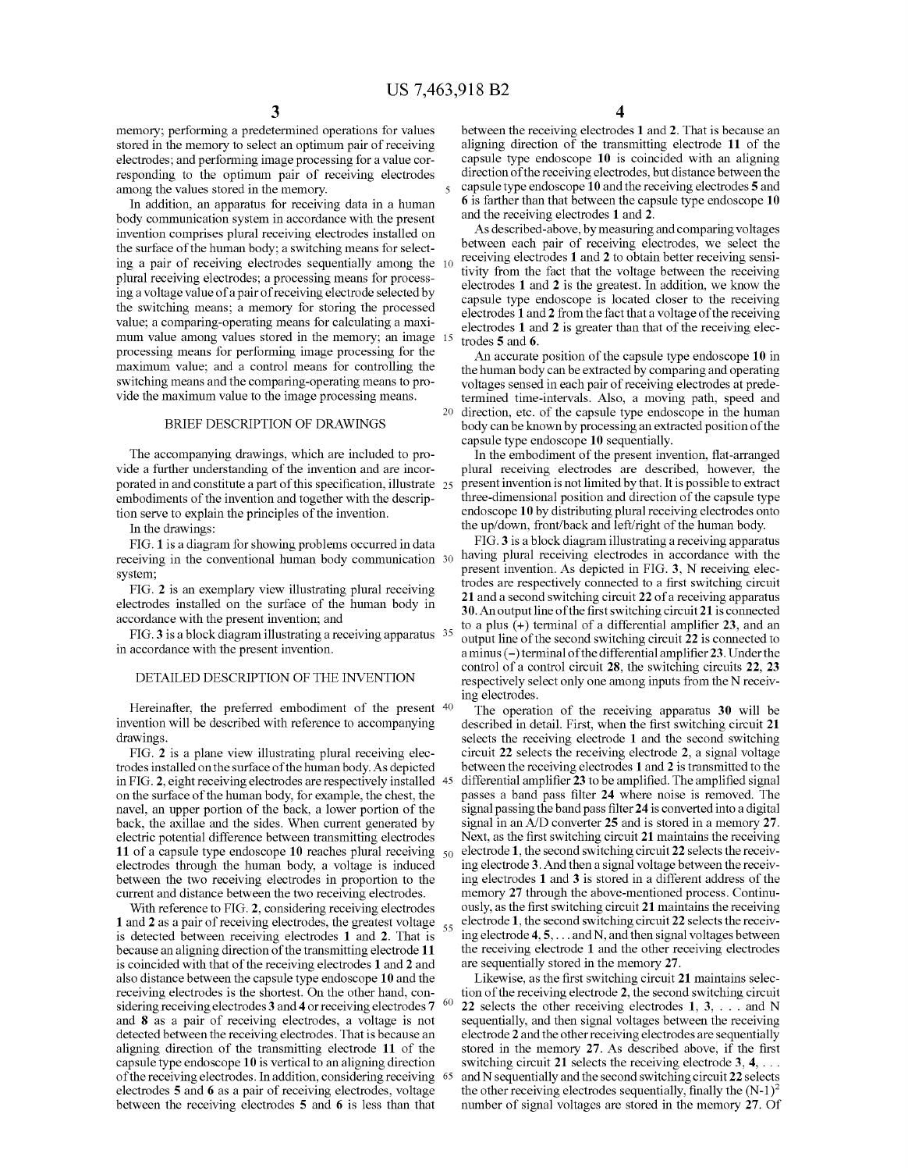55

60

memory; performing a predetermined operations for values stored in the memory to select an optimum pair of receiving electrodes; and performing image processing for a value cor responding to the optimum pair of receiving electrodes among the values stored in the memory.

In addition, an apparatus for receiving data in a human body communication system in accordance With the present invention comprises plural receiving electrodes installed on the surface of the human body; a switching means for selecting a pair of receiving electrodes sequentially among the plural receiving electrodes; a processing means for process ing a voltage value of a pair of receiving electrode selected by the switching means; a memory for storing the processed value; a comparing-operating means for calculating a maxi mum value among values stored in the memory; an image 15 processing means for performing image processing for the maximum value; and a control means for controlling the switching means and the comparing-operating means to provide the maximum value to the image processing means.

## BRIEF DESCRIPTION OF DRAWINGS

The accompanying drawings, which are included to provide a further understanding of the invention and are incor porated in and constitute a part of this specification, illustrate  $25$ embodiments of the invention and together with the description serve to explain the principles of the invention.

In the drawings:

FIG. 1 is a diagram for showing problems occurred in data receiving in the conventional human body communication 30 system;

FIG. 2 is an exemplary vieW illustrating plural receiving electrodes installed on the surface of the human body in accordance With the present invention; and

FIG. 3 is a block diagram illustrating a receiving apparatus 35 in accordance With the present invention.

## DETAILED DESCRIPTION OF THE INVENTION

Hereinafter, the preferred embodiment of the present 40 invention Will be described With reference to accompanying drawings.

FIG. 2 is a plane vieW illustrating plural receiving elec trodes installed on the surface of the human body. As depicted in FIG. 2, eight receiving electrodes are respectively installed on the surface of the human body, for example, the chest, the navel, an upper portion of the back, a lower portion of the back, the axillae and the sides. When current generated by electric potential difference betWeen transmitting electrodes 11 of a capsule type endoscope 10 reaches plural receiving  $\,50$ electrodes through the human body, a voltage is induced betWeen the tWo receiving electrodes in proportion to the current and distance between the two receiving electrodes.

With reference to FIG. 2, considering receiving electrodes 1 and 2 as a pair of receiving electrodes, the greatest voltage is detected betWeen receiving electrodes 1 and 2. That is because an aligning direction of the transmitting electrode 11 is coincided With that of the receiving electrodes 1 and 2 and also distance betWeen the capsule type endoscope 10 and the receiving electrodes is the shortest. On the other hand, con sidering receiving electrodes 3 and 4 or receiving electrodes 7 and 8 as a pair of receiving electrodes, a voltage is not detected between the receiving electrodes. That is because an aligning direction of the transmitting electrode 11 of the capsule type endoscope 10 is vertical to an aligning direction of the receiving electrodes. In addition, considering receiving 65 electrodes 5 and 6 as a pair of receiving electrodes, voltage betWeen the receiving electrodes 5 and 6 is less than that

between the receiving electrodes 1 and 2. That is because an aligning direction of the transmitting electrode 11 of the capsule type endoscope 10 is coincided With an aligning direction of the receiving electrodes, but distance between the capsule type endoscope 10 and the receiving electrodes 5 and 6 is farther than that betWeen the capsule type endoscope 10 and the receiving electrodes 1 and 2.

As described-above, by measuring and comparing voltages between each pair of receiving electrodes, we select the receiving electrodes 1 and 2 to obtain better receiving sensi tivity from the fact that the voltage between the receiving electrodes 1 and 2 is the greatest. In addition, we know the capsule type endoscope is located closer to the receiving electrodes 1 and 2 from the fact that a voltage of the receiving electrodes 1 and 2 is greater than that of the receiving elec trodes 5 and 6.

20 direction, etc. of the capsule type endoscope in the human An accurate position of the capsule type endoscope 10 in the human body can be extracted by comparing and operating voltages sensed in each pair of receiving electrodes at prede termined time-intervals. Also, a moving path, speed and body can be knoWn by processing an extracted position of the capsule type endoscope 10 sequentially.

In the embodiment of the present invention, flat-arranged plural receiving electrodes are described, hoWever, the present invention is not limited by that. It is possible to extract three-dimensional position and direction of the capsule type endoscope 10 by distributing plural receiving electrodes onto the up/doWn, front/back and left/right of the human body.

FIG. 3 is a block diagram illustrating a receiving apparatus having plural receiving electrodes in accordance With the present invention. As depicted in FIG. 3, N receiving elec trodes are respectively connected to a first switching circuit 21 and a second sWitching circuit 22 of a receiving apparatus 30. An output line of the first switching circuit 21 is connected to a plus  $(+)$  terminal of a differential amplifier 23, and an output line of the second sWitching circuit 22 is connected to a minus  $(-)$  terminal of the differential amplifier 23. Under the control of a control circuit 28, the switching circuits 22, 23 respectively select only one among inputs from the N receiv ing electrodes.

The operation of the receiving apparatus 30 Will be described in detail. First, when the first switching circuit 21 selects the receiving electrode 1 and the second sWitching circuit 22 selects the receiving electrode 2, a signal voltage between the receiving electrodes 1 and 2 is transmitted to the differential amplifier 23 to be amplified. The amplified signal passes a band pass filter 24 where noise is removed. The signal passing the band pass filter 24 is converted into a digital signal in an A/D converter 25 and is stored in a memory 27. Next, as the first switching circuit 21 maintains the receiving electrode 1, the second sWitching circuit 22 selects the receiv ing electrode 3. And then a signal voltage between the receiving electrodes 1 and 3 is stored in a different address of the memory 27 through the above-mentioned process. Continu ously, as the first switching circuit 21 maintains the receiving electrode 1, the second sWitching circuit 22 selects the receiv ing electrode  $4, 5, \ldots$  and N, and then signal voltages between the receiving electrode 1 and the other receiving electrodes are sequentially stored in the memory 27.

Likewise, as the first switching circuit 21 maintains selection of the receiving electrode 2, the second sWitching circuit 22 selects the other receiving electrodes  $1, 3, \ldots$  and N sequentially, and then signal voltages between the receiving electrode 2 and the other receiving electrodes are sequentially stored in the memory 27. As described above, if the first switching circuit 21 selects the receiving electrode  $3, 4, \ldots$ and N sequentially and the second sWitching circuit 22 selects the other receiving electrodes sequentially, finally the  $(N-1)^2$ number of signal voltages are stored in the memory 27. Of